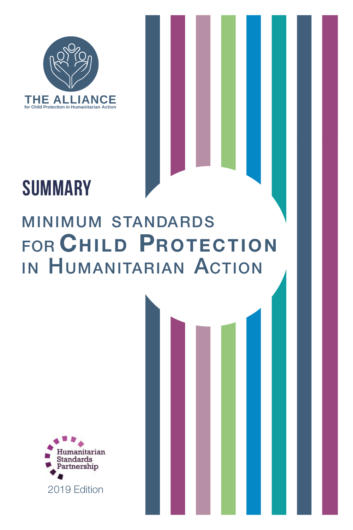

## $\blacksquare$ SUMMARY **FOUNDARY**

## MINIMUM STANDARDS FOR CHILD PROTECTION IN HUMANITARIAN ACTION MINIMUM STANDARDS MINIMUM SIANDARDS FOR CHILD PROTECTION

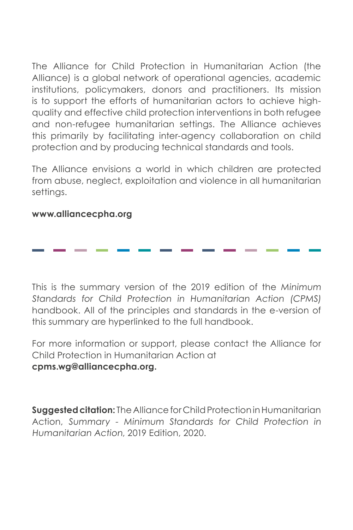The Alliance for Child Protection in Humanitarian Action (the Alliance) is a global network of operational agencies, academic institutions, policymakers, donors and practitioners. Its mission is to support the efforts of humanitarian actors to achieve highquality and effective child protection interventions in both refugee and non-refugee humanitarian settings. The Alliance achieves this primarily by facilitating inter-agency collaboration on child protection and by producing technical standards and tools.

The Alliance envisions a world in which children are protected from abuse, neglect, exploitation and violence in all humanitarian settings.

#### **[www.alliancecpha.org](https://alliancecpha.org/en)**

This is the summary version of the 2019 edition of the Minimum Standards for Child Protection in Humanitarian Action (CPMS) handbook. All of the principles and standards in the e-version of this summary are hyperlinked to the full handbook.

For more information or support, please contact the Alliance for Child Protection in Humanitarian Action at **cpms.wg@alliancecpha.org.**

**Suggested citation:** The Alliance for Child Protection in Humanitarian Action, Summary - Minimum Standards for Child Protection in Humanitarian Action, 2019 Edition, 2020.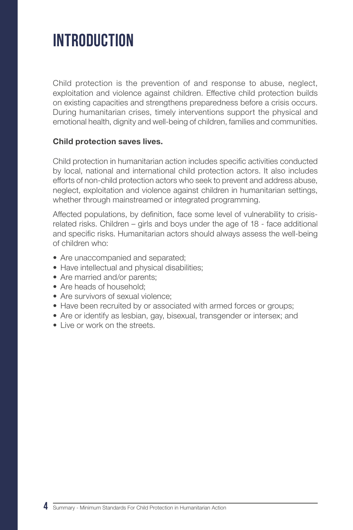## **INTRODUCTION**

Child protection is the prevention of and response to abuse, neglect, exploitation and violence against children. Effective child protection builds on existing capacities and strengthens preparedness before a crisis occurs. During humanitarian crises, timely interventions support the physical and emotional health, dignity and well-being of children, families and communities.

#### **Child protection saves lives.**

Child protection in humanitarian action includes specific activities conducted by local, national and international child protection actors. It also includes efforts of non-child protection actors who seek to prevent and address abuse, neglect, exploitation and violence against children in humanitarian settings, whether through mainstreamed or integrated programming.

Affected populations, by definition, face some level of vulnerability to crisisrelated risks. Children – girls and boys under the age of 18 - face additional and specific risks. Humanitarian actors should always assess the well-being of children who:

- Are unaccompanied and separated;
- Have intellectual and physical disabilities;
- Are married and/or parents:
- Are heads of household:
- Are survivors of sexual violence;
- Have been recruited by or associated with armed forces or groups;
- Are or identify as lesbian, gay, bisexual, transgender or intersex; and
- Live or work on the streets.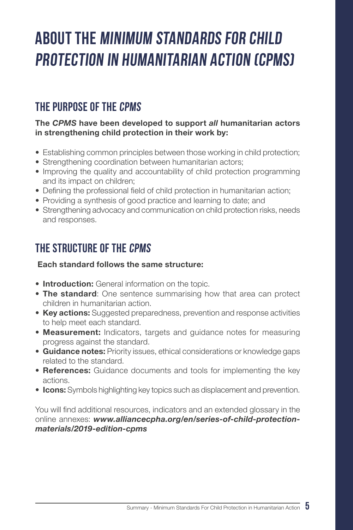# ABOUT THE MINIMUM STANDARDS FOR CHILD Protection in Humanitarian Action (CPMS)

## The purpose of the CPMS

#### **The** *CPMS* **have been developed to support** *all* **humanitarian actors in strengthening child protection in their work by:**

- Establishing common principles between those working in child protection;
- Strengthening coordination between humanitarian actors;
- Improving the quality and accountability of child protection programming and its impact on children;
- Defining the professional field of child protection in humanitarian action;
- Providing a synthesis of good practice and learning to date; and
- Strengthening advocacy and communication on child protection risks, needs and responses.

## The structure of the CPMS

#### **Each standard follows the same structure:**

- **Introduction:** General information on the topic.
- **The standard**: One sentence summarising how that area can protect children in humanitarian action.
- **Key actions:** Suggested preparedness, prevention and response activities to help meet each standard.
- **Measurement:** Indicators, targets and guidance notes for measuring progress against the standard.
- **Guidance notes:** Priority issues, ethical considerations or knowledge gaps related to the standard.
- **References:** Guidance documents and tools for implementing the key actions.
- **Icons:** Symbols highlighting key topics such as displacement and prevention.

You will find additional resources, indicators and an extended glossary in the online annexes: *[www.alliancecpha.org/en/series-of-child-protection](http://www.alliancecpha.org/en/series-of-child-protection-materials/2019-edition-cpms)[materials/2019-edition-cpms](http://www.alliancecpha.org/en/series-of-child-protection-materials/2019-edition-cpms)*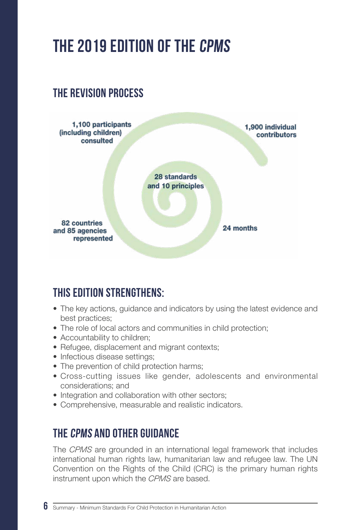## The 2019 edition of the CPMS

## The revision process



## This edition strengthens:

- The key actions, guidance and indicators by using the latest evidence and best practices;
- The role of local actors and communities in child protection;
- Accountability to children:
- Refugee, displacement and migrant contexts;
- Infectious disease settings:
- The prevention of child protection harms;
- Cross-cutting issues like gender, adolescents and environmental considerations; and
- Integration and collaboration with other sectors:
- Comprehensive, measurable and realistic indicators.

## The CPMS and other guidance

The *CPMS* are grounded in an international legal framework that includes international human rights law, humanitarian law and refugee law. The UN Convention on the Rights of the Child (CRC) is the primary human rights instrument upon which the *CPMS* are based.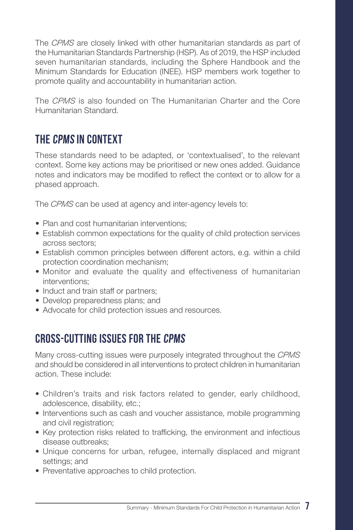The *CPMS* are closely linked with other humanitarian standards as part of the Humanitarian Standards Partnership (HSP). As of 2019, the HSP included seven humanitarian standards, including the Sphere Handbook and the Minimum Standards for Education (INEE). HSP members work together to promote quality and accountability in humanitarian action.

The *CPMS* is also founded on The Humanitarian Charter and the Core Humanitarian Standard.

## The CPMS in context

These standards need to be adapted, or 'contextualised', to the relevant context. Some key actions may be prioritised or new ones added. Guidance notes and indicators may be modified to reflect the context or to allow for a phased approach.

The *CPMS* can be used at agency and inter-agency levels to:

- Plan and cost humanitarian interventions:
- Establish common expectations for the quality of child protection services across sectors;
- Establish common principles between different actors, e.g. within a child protection coordination mechanism;
- Monitor and evaluate the quality and effectiveness of humanitarian interventions;
- Induct and train staff or partners:
- Develop preparedness plans; and
- Advocate for child protection issues and resources.

## Cross-cutting issues for the CPMS

Many cross-cutting issues were purposely integrated throughout the *CPMS* and should be considered in all interventions to protect children in humanitarian action. These include:

- Children's traits and risk factors related to gender, early childhood, adolescence, disability, etc.;
- Interventions such as cash and voucher assistance, mobile programming and civil registration:
- Key protection risks related to trafficking, the environment and infectious disease outbreaks;
- Unique concerns for urban, refugee, internally displaced and migrant settings; and
- Preventative approaches to child protection.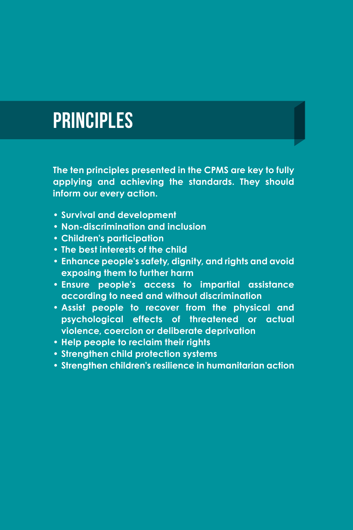# **PRINCIPLES**

**The ten principles presented in the CPMS are key to fully applying and achieving the standards. They should inform our every action.**

- **• Survival and development**
- **• Non-discrimination and inclusion**
- **• Children's participation**
- **• The best interests of the child**
- **• Enhance people's safety, dignity, and rights and avoid exposing them to further harm**
- **• Ensure people's access to impartial assistance according to need and without discrimination**
- **• Assist people to recover from the physical and psychological effects of threatened or actual violence, coercion or deliberate deprivation**
- **• Help people to reclaim their rights**
- **• Strengthen child protection systems**
- **• Strengthen children's resilience in humanitarian action**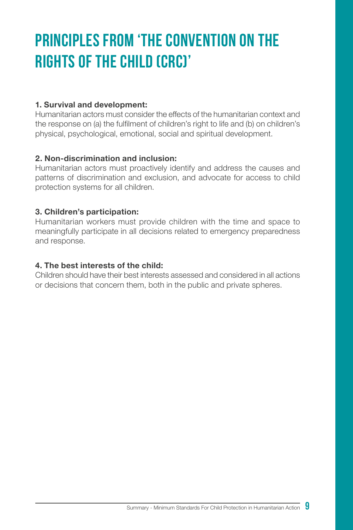# Principles from 'The Convention on the RIGHTS OF THE CHILD (CRC)'

#### **1. Survival and development:**

Humanitarian actors must consider the effects of the humanitarian context and the response on (a) the fulfilment of children's right to life and (b) on children's physical, psychological, emotional, social and spiritual development.

#### **2. Non-discrimination and inclusion:**

Humanitarian actors must proactively identify and address the causes and patterns of discrimination and exclusion, and advocate for access to child protection systems for all children.

#### **3. Children's participation:**

Humanitarian workers must provide children with the time and space to meaningfully participate in all decisions related to emergency preparedness and response.

#### **4. The best interests of the child:**

Children should have their best interests assessed and considered in all actions or decisions that concern them, both in the public and private spheres.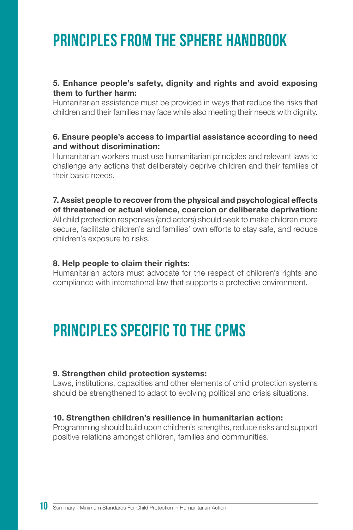## PRINCIPLES FROM THE SPHERE HANDROOK

#### **5. Enhance people's safety, dignity and rights and avoid exposing them to further harm:**

Humanitarian assistance must be provided in ways that reduce the risks that children and their families may face while also meeting their needs with dignity.

#### **6. Ensure people's access to impartial assistance according to need and without discrimination:**

Humanitarian workers must use humanitarian principles and relevant laws to challenge any actions that deliberately deprive children and their families of their basic needs.

**7. Assist people to recover from the physical and psychological effects of threatened or actual violence, coercion or deliberate deprivation:** All child protection responses (and actors) should seek to make children more secure, facilitate children's and families' own efforts to stay safe, and reduce children's exposure to risks.

#### **8. Help people to claim their rights:**

Humanitarian actors must advocate for the respect of children's rights and compliance with international law that supports a protective environment.

## PRINCIPI ES SPECIFIC TO THE CPMS

#### **9. Strengthen child protection systems:**

Laws, institutions, capacities and other elements of child protection systems should be strengthened to adapt to evolving political and crisis situations.

#### **10. Strengthen children's resilience in humanitarian action:**

Programming should build upon children's strengths, reduce risks and support positive relations amongst children, families and communities.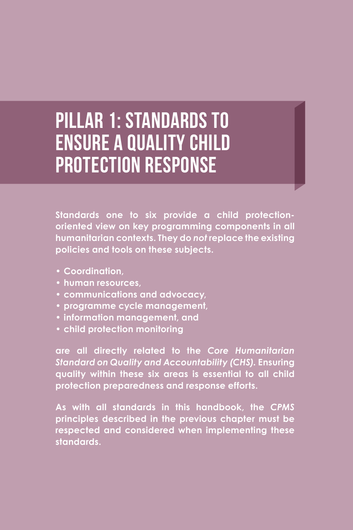# Pillar 1: Standards to ensure a quality child protection response

**Standards one to six provide a child protectionoriented view on key programming components in all humanitarian contexts. They do** *not* **replace the existing policies and tools on these subjects.**

- **• Coordination,**
- **• human resources,**
- **• communications and advocacy,**
- **• programme cycle management,**
- **• information management, and**
- **• child protection monitoring**

**are all directly related to the** *[Core Humanitarian](https://corehumanitarianstandard.org/the-standard) [Standard on Quality and Accountability \(CHS\)](https://corehumanitarianstandard.org/the-standard).* **Ensuring quality within these six areas is essential to all child protection preparedness and response efforts.**

**As with all standards in this handbook, the** *CPMS* **principles described in the previous chapter must be respected and considered when implementing these standards.**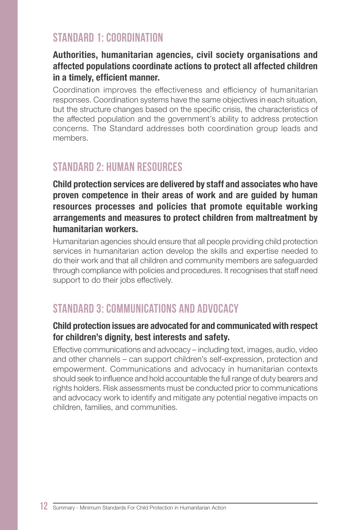### STANDARD 1: COORDINATION

#### **Authorities, humanitarian agencies, civil society organisations and affected populations coordinate actions to protect all affected children in a timely, efficient manner.**

Coordination improves the effectiveness and efficiency of humanitarian responses. Coordination systems have the same objectives in each situation, but the structure changes based on the specific crisis, the characteristics of the affected population and the government's ability to address protection concerns. The Standard addresses both coordination group leads and members.

## Standard 2: Human resources

**Child protection services are delivered by staff and associates who have proven competence in their areas of work and are guided by human resources processes and policies that promote equitable working arrangements and measures to protect children from maltreatment by humanitarian workers.**

Humanitarian agencies should ensure that all people providing child protection services in humanitarian action develop the skills and expertise needed to do their work and that all children and community members are safeguarded through compliance with policies and procedures. It recognises that staff need support to do their jobs effectively.

## Standard 3: Communications and advocacy

#### **Child protection issues are advocated for and communicated with respect for children's dignity, best interests and safety.**

Effective communications and advocacy – including text, images, audio, video and other channels – can support children's self-expression, protection and empowerment. Communications and advocacy in humanitarian contexts should seek to influence and hold accountable the full range of duty bearers and rights holders. Risk assessments must be conducted prior to communications and advocacy work to identify and mitigate any potential negative impacts on children, families, and communities.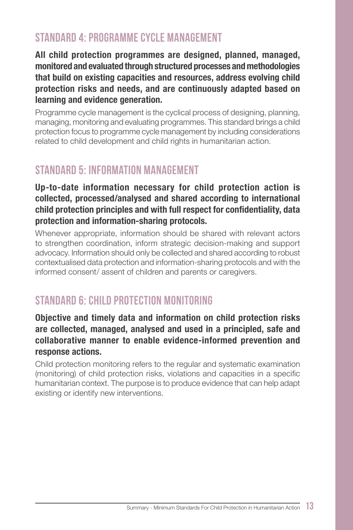## Standard 4: Programme cycle management

**All child protection programmes are designed, planned, managed, monitored and evaluated through structured processes and methodologies that build on existing capacities and resources, address evolving child protection risks and needs, and are continuously adapted based on learning and evidence generation.**

Programme cycle management is the cyclical process of designing, planning, managing, monitoring and evaluating programmes. This standard brings a child protection focus to programme cycle management by including considerations related to child development and child rights in humanitarian action.

## Standard 5: Information management

#### **Up-to-date information necessary for child protection action is collected, processed/analysed and shared according to international child protection principles and with full respect for confidentiality, data protection and information-sharing protocols.**

Whenever appropriate, information should be shared with relevant actors to strengthen coordination, inform strategic decision-making and support advocacy. Information should only be collected and shared according to robust contextualised data protection and information-sharing protocols and with the informed consent/ assent of children and parents or caregivers.

## Standard 6: Child protection monitoring

#### **Objective and timely data and information on child protection risks are collected, managed, analysed and used in a principled, safe and collaborative manner to enable evidence-informed prevention and response actions.**

Child protection monitoring refers to the regular and systematic examination (monitoring) of child protection risks, violations and capacities in a specific humanitarian context. The purpose is to produce evidence that can help adapt existing or identify new interventions.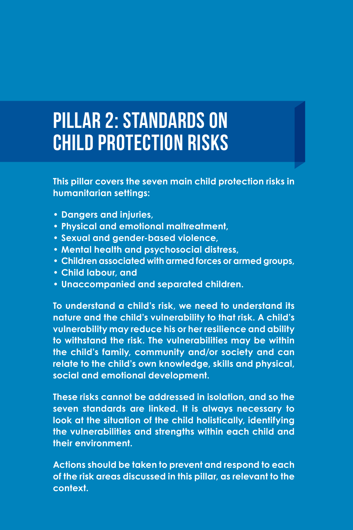# Pillar 2: Standards on child protection risks

**This pillar covers the seven main child protection risks in humanitarian settings:**

- **• Dangers and injuries,**
- **• Physical and emotional maltreatment,**
- **• Sexual and gender-based violence,**
- **• Mental health and psychosocial distress,**
- **• Children associated with armed forces or armed groups,**
- **• Child labour, and**
- **• Unaccompanied and separated children.**

**To understand a child's risk, we need to understand its nature and the child's vulnerability to that risk. A child's vulnerability may reduce his or her resilience and ability to withstand the risk. The vulnerabilities may be within the child's family, community and/or society and can relate to the child's own knowledge, skills and physical, social and emotional development.**

**These risks cannot be addressed in isolation, and so the seven standards are linked. It is always necessary to look at the situation of the child holistically, identifying the vulnerabilities and strengths within each child and their environment.**

**Actions should be taken to prevent and respond to each of the risk areas discussed in this pillar, as relevant to the context.**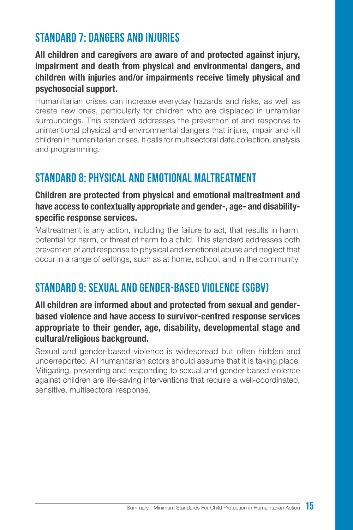## Standard 7: Dangers and injuries

**All children and caregivers are aware of and protected against injury, impairment and death from physical and environmental dangers, and children with injuries and/or impairments receive timely physical and psychosocial support.**

Humanitarian crises can increase everyday hazards and risks, as well as create new ones, particularly for children who are displaced in unfamiliar surroundings. This standard addresses the prevention of and response to unintentional physical and environmental dangers that injure, impair and kill children in humanitarian crises. It calls for multisectoral data collection, analysis and programming.

## Standard 8: Physical and emotional maltreatment

#### **Children are protected from physical and emotional maltreatment and have access to contextually appropriate and gender-, age- and disabilityspecific response services.**

Maltreatment is any action, including the failure to act, that results in harm, potential for harm, or threat of harm to a child. This standard addresses both prevention of and response to physical and emotional abuse and neglect that occur in a range of settings, such as at home, school, and in the community.

## Standard 9: Sexual and gender-based violence (SGBV)

#### **All children are informed about and protected from sexual and genderbased violence and have access to survivor-centred response services appropriate to their gender, age, disability, developmental stage and cultural/religious background.**

Sexual and gender-based violence is widespread but often hidden and underreported. All humanitarian actors should assume that it is taking place. Mitigating, preventing and responding to sexual and gender-based violence against children are life-saving interventions that require a well-coordinated, sensitive, multisectoral response.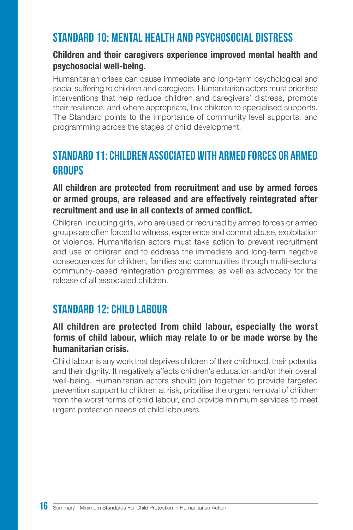## Standard 10: Mental health and psychosocial distress

#### **Children and their caregivers experience improved mental health and psychosocial well-being.**

Humanitarian crises can cause immediate and long-term psychological and social suffering to children and caregivers. Humanitarian actors must prioritise interventions that help reduce children and caregivers' distress, promote their resilience, and where appropriate, link children to specialised supports. The Standard points to the importance of community level supports, and programming across the stages of child development.

## Standard 11: Children associated with armed forces or armed **GROUPS**

#### **All children are protected from recruitment and use by armed forces or armed groups, are released and are effectively reintegrated after recruitment and use in all contexts of armed conflict.**

Children, including girls, who are used or recruited by armed forces or armed groups are often forced to witness, experience and commit abuse, exploitation or violence. Humanitarian actors must take action to prevent recruitment and use of children and to address the immediate and long-term negative consequences for children, families and communities through multi-sectoral community-based reintegration programmes, as well as advocacy for the release of all associated children.

### STANDARD 12: CHILD LABOUR

#### **All children are protected from child labour, especially the worst forms of child labour, which may relate to or be made worse by the humanitarian crisis.**

Child labour is any work that deprives children of their childhood, their potential and their dignity. It negatively affects children's education and/or their overall well-being. Humanitarian actors should join together to provide targeted prevention support to children at risk, prioritise the urgent removal of children from the worst forms of child labour, and provide minimum services to meet urgent protection needs of child labourers.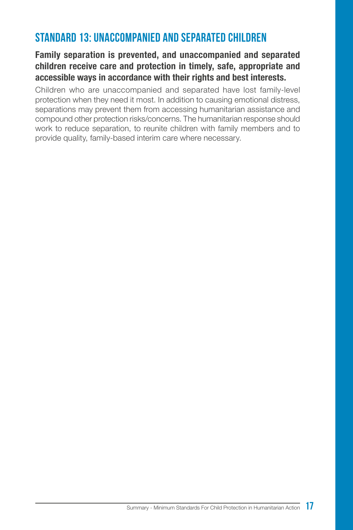## Standard 13: Unaccompanied and separated children

#### **Family separation is prevented, and unaccompanied and separated children receive care and protection in timely, safe, appropriate and accessible ways in accordance with their rights and best interests.**

Children who are unaccompanied and separated have lost family-level protection when they need it most. In addition to causing emotional distress, separations may prevent them from accessing humanitarian assistance and compound other protection risks/concerns. The humanitarian response should work to reduce separation, to reunite children with family members and to provide quality, family-based interim care where necessary.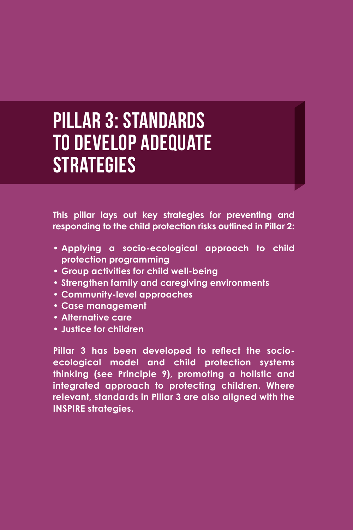# Pillar 3: Standards to develop adequate **STRATEGIES**

**This pillar lays out key strategies for preventing and responding to the child protection risks outlined in Pillar 2:**

- **• Applying a socio-ecological approach to child protection programming**
- **• Group activities for child well-being**
- **• Strengthen family and caregiving environments**
- **• Community-level approaches**
- **• Case management**
- **• Alternative care**
- **• Justice for children**

**Pillar 3 has been developed to reflect the socioecological model and child protection systems thinking (see Principle 9), promoting a holistic and integrated approach to protecting children. Where relevant, standards in Pillar 3 are also aligned with the INSPIRE strategies.**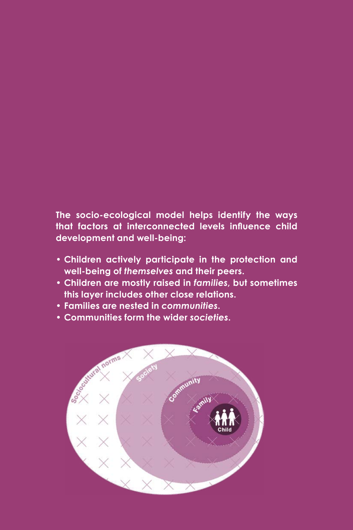#### **The socio-ecological model helps identify the ways that factors at interconnected levels influence child development and well-being:**

- **• Children actively participate in the protection and well-being of** *themselves* **and their peers.**
- **• Children are mostly raised in** *families***, but sometimes this layer includes other close relations.**
- **• Families are nested in** *communities***.**
- **• Communities form the wider** *societies***.**

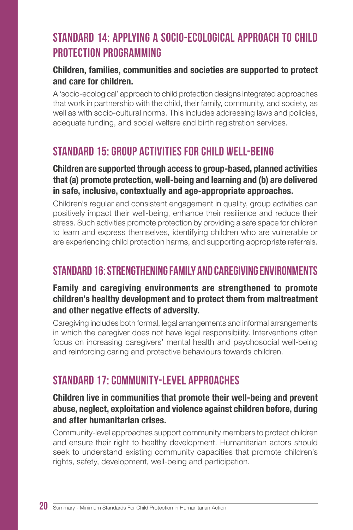## Standard 14: Applying a socio-ecological approach to child protection programming

#### **Children, families, communities and societies are supported to protect and care for children.**

A 'socio-ecological' approach to child protection designs integrated approaches that work in partnership with the child, their family, community, and society, as well as with socio-cultural norms. This includes addressing laws and policies, adequate funding, and social welfare and birth registration services.

## Standard 15: Group activities for child well-being

#### **Children are supported through access to group-based, planned activities that (a) promote protection, well-being and learning and (b) are delivered in safe, inclusive, contextually and age-appropriate approaches.**

Children's regular and consistent engagement in quality, group activities can positively impact their well-being, enhance their resilience and reduce their stress. Such activities promote protection by providing a safe space for children to learn and express themselves, identifying children who are vulnerable or are experiencing child protection harms, and supporting appropriate referrals.

## Standard 16: Strengthening family and caregiving environments

#### **Family and caregiving environments are strengthened to promote children's healthy development and to protect them from maltreatment and other negative effects of adversity.**

Caregiving includes both formal, legal arrangements and informal arrangements in which the caregiver does not have legal responsibility. Interventions often focus on increasing caregivers' mental health and psychosocial well-being and reinforcing caring and protective behaviours towards children.

## Standard 17: Community-level approaches

#### **Children live in communities that promote their well-being and prevent abuse, neglect, exploitation and violence against children before, during and after humanitarian crises.**

Community-level approaches support community members to protect children and ensure their right to healthy development. Humanitarian actors should seek to understand existing community capacities that promote children's rights, safety, development, well-being and participation.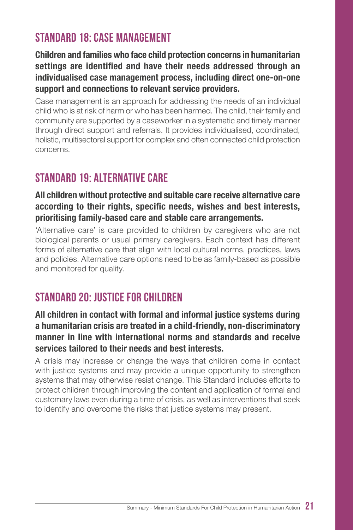## Standard 18: Case management

**Children and families who face child protection concerns in humanitarian settings are identified and have their needs addressed through an individualised case management process, including direct one-on-one support and connections to relevant service providers.**

Case management is an approach for addressing the needs of an individual child who is at risk of harm or who has been harmed. The child, their family and community are supported by a caseworker in a systematic and timely manner through direct support and referrals. It provides individualised, coordinated, holistic, multisectoral support for complex and often connected child protection concerns.

## Standard 19: Alternative care

#### **All children without protective and suitable care receive alternative care according to their rights, specific needs, wishes and best interests, prioritising family-based care and stable care arrangements.**

'Alternative care' is care provided to children by caregivers who are not biological parents or usual primary caregivers. Each context has different forms of alternative care that align with local cultural norms, practices, laws and policies. Alternative care options need to be as family-based as possible and monitored for quality.

## Standard 20: Justice for children

#### **All children in contact with formal and informal justice systems during a humanitarian crisis are treated in a child-friendly, non-discriminatory manner in line with international norms and standards and receive services tailored to their needs and best interests.**

A crisis may increase or change the ways that children come in contact with justice systems and may provide a unique opportunity to strengthen systems that may otherwise resist change. This Standard includes efforts to protect children through improving the content and application of formal and customary laws even during a time of crisis, as well as interventions that seek to identify and overcome the risks that justice systems may present.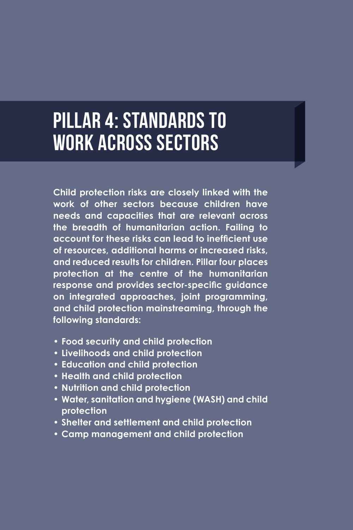# Pillar 4: Standards to work across sectors

**Child protection risks are closely linked with the work of other sectors because children have needs and capacities that are relevant across the breadth of humanitarian action. Failing to account for these risks can lead to inefficient use of resources, additional harms or increased risks, and reduced results for children. Pillar four places protection at the centre of the humanitarian response and provides sector-specific guidance on integrated approaches, joint programming, and child protection mainstreaming, through the following standards:**

- **• Food security and child protection**
- **• Livelihoods and child protection**
- **• Education and child protection**
- **• Health and child protection**
- **• Nutrition and child protection**
- **• Water, sanitation and hygiene (WASH) and child protection**
- **• Shelter and settlement and child protection**
- **• Camp management and child protection**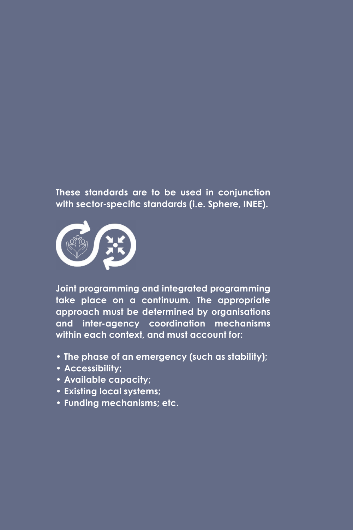**These standards are to be used in conjunction with sector-specific standards (i.e. Sphere, INEE).**



**Joint programming and integrated programming take place on a continuum. The appropriate approach must be determined by organisations and inter-agency coordination mechanisms within each context, and must account for:**

- **• The phase of an emergency (such as stability);**
- **• Accessibility;**
- **• Available capacity;**
- **• Existing local systems;**
- **• Funding mechanisms; etc.**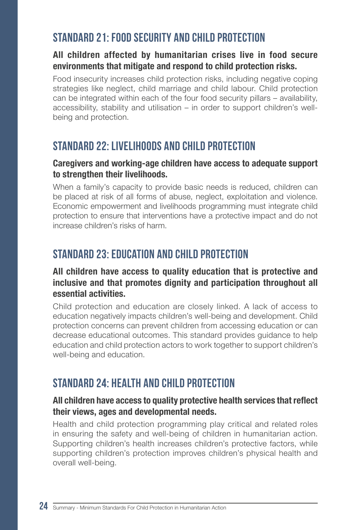## Standard 21: Food security and child protection

#### **All children affected by humanitarian crises live in food secure environments that mitigate and respond to child protection risks.**

Food insecurity increases child protection risks, including negative coping strategies like neglect, child marriage and child labour. Child protection can be integrated within each of the four food security pillars – availability, accessibility, stability and utilisation – in order to support children's wellbeing and protection.

## STANDARD 22: LIVELIHOODS AND CHILD PROTECTION

#### **Caregivers and working-age children have access to adequate support to strengthen their livelihoods.**

When a family's capacity to provide basic needs is reduced, children can be placed at risk of all forms of abuse, neglect, exploitation and violence. Economic empowerment and livelihoods programming must integrate child protection to ensure that interventions have a protective impact and do not increase children's risks of harm.

## Standard 23: Education and child protection

#### **All children have access to quality education that is protective and inclusive and that promotes dignity and participation throughout all essential activities.**

Child protection and education are closely linked. A lack of access to education negatively impacts children's well-being and development. Child protection concerns can prevent children from accessing education or can decrease educational outcomes. This standard provides guidance to help education and child protection actors to work together to support children's well-being and education.

## STANDARD 24: HEALTH AND CHILD PROTECTION

#### **All children have access to quality protective health services that reflect their views, ages and developmental needs.**

Health and child protection programming play critical and related roles in ensuring the safety and well-being of children in humanitarian action. Supporting children's health increases children's protective factors, while supporting children's protection improves children's physical health and overall well-being.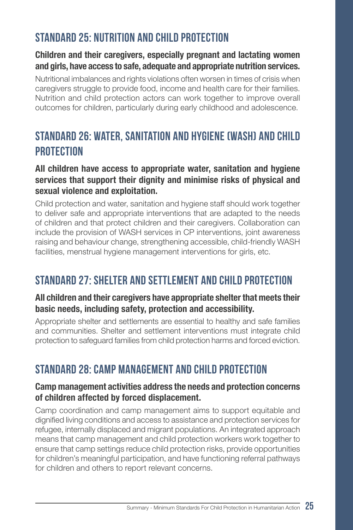## Standard 25: Nutrition and child protection

#### **Children and their caregivers, especially pregnant and lactating women and girls, have access to safe, adequate and appropriate nutrition services.**

Nutritional imbalances and rights violations often worsen in times of crisis when caregivers struggle to provide food, income and health care for their families. Nutrition and child protection actors can work together to improve overall outcomes for children, particularly during early childhood and adolescence.

## Standard 26: Water, sanitation and hygiene (WASH) and child **PROTECTION**

#### **All children have access to appropriate water, sanitation and hygiene services that support their dignity and minimise risks of physical and sexual violence and exploitation.**

Child protection and water, sanitation and hygiene staff should work together to deliver safe and appropriate interventions that are adapted to the needs of children and that protect children and their caregivers. Collaboration can include the provision of WASH services in CP interventions, joint awareness raising and behaviour change, strengthening accessible, child-friendly WASH facilities, menstrual hygiene management interventions for girls, etc.

## STANDARD 27: SHELTER AND SETTI EMENT AND CHILD PROTECTION

#### **All children and their caregivers have appropriate shelter that meets their basic needs, including safety, protection and accessibility.**

Appropriate shelter and settlements are essential to healthy and safe families and communities. Shelter and settlement interventions must integrate child protection to safeguard families from child protection harms and forced eviction.

## Standard 28: Camp management and child protection

#### **Camp management activities address the needs and protection concerns of children affected by forced displacement.**

Camp coordination and camp management aims to support equitable and dignified living conditions and access to assistance and protection services for refugee, internally displaced and migrant populations. An integrated approach means that camp management and child protection workers work together to ensure that camp settings reduce child protection risks, provide opportunities for children's meaningful participation, and have functioning referral pathways for children and others to report relevant concerns.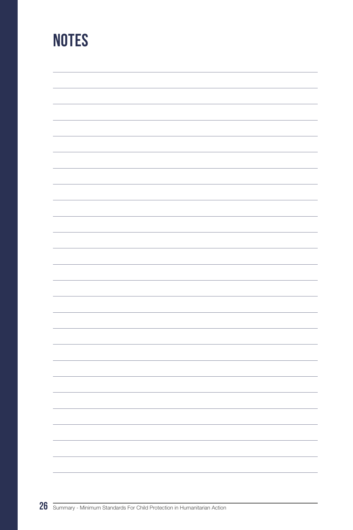## **NOTES**